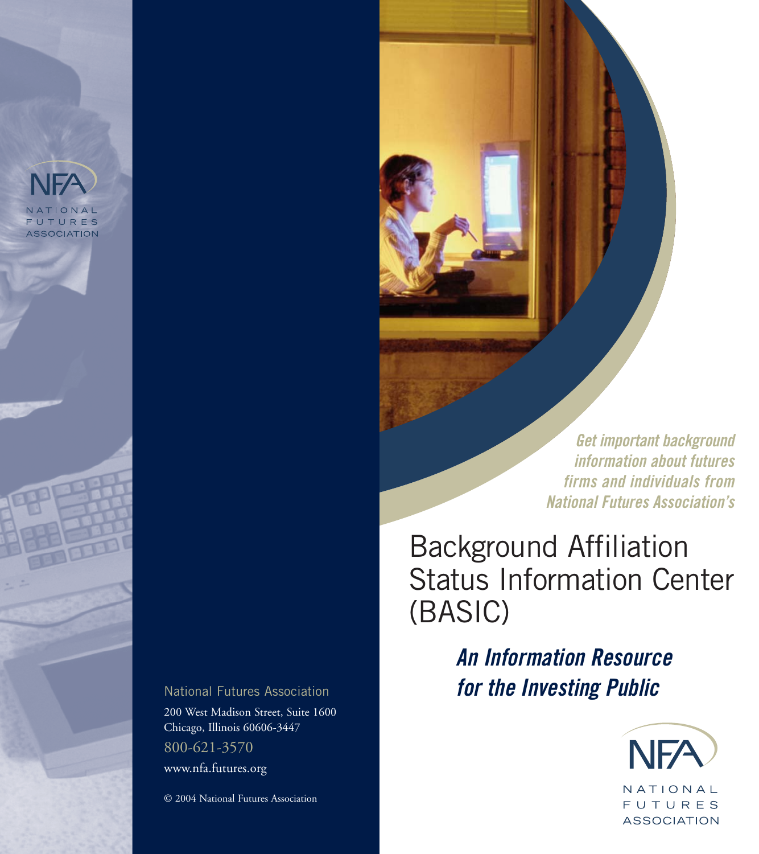**Get important background information about futures firms and individuals from National Futures Association's**

# Background Affiliation Status Information Center (BASIC)

**An Information Resource for the Investing Public** 



NATIONAL **FUTURES ASSOCIATION**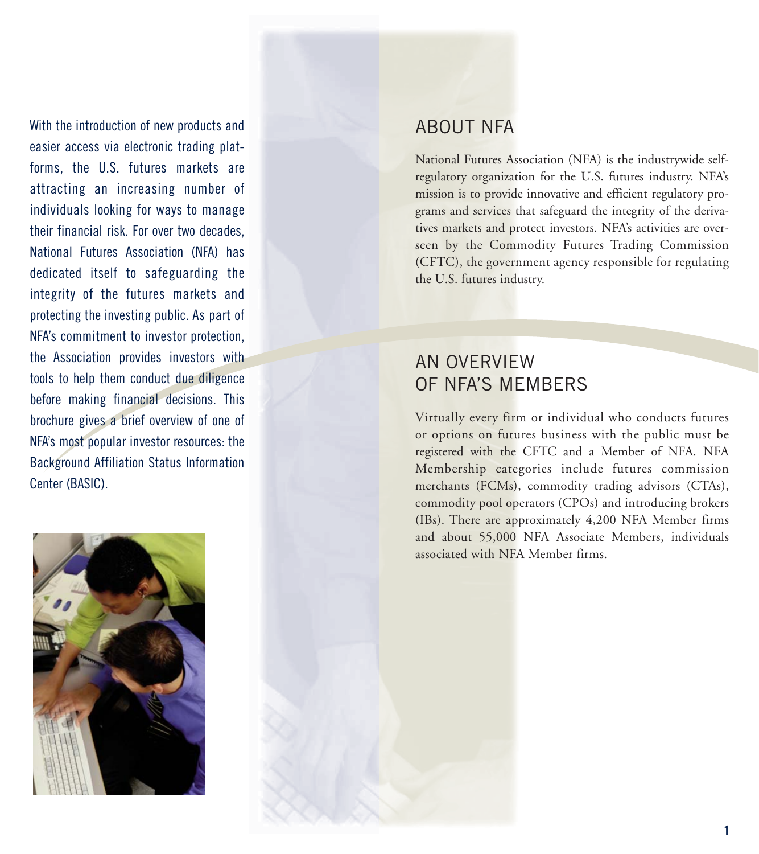With the introduction of new products and easier access via electronic trading platforms, the U.S. futures markets are attracting an increasing number of individuals looking for ways to manage their financial risk. For over two decades, National Futures Association (NFA) has dedicated itself to safeguarding the integrity of the futures markets and protecting the investing public. As part of NFA's commitment to investor protection, the Association provides investors with tools to help them conduct due diligence before making financial decisions. This brochure gives a brief overview of one of NFA's most popular investor resources: the Background Affiliation Status Information Center (BASIC).



National Futures Association (NFA) is the industrywide selfregulatory organization for the U.S. futures industry. NFA's mission is to provide innovative and efficient regulatory programs and services that safeguard the integrity of the derivatives markets and protect investors. NFA's activities are overseen by the Commodity Futures Trading Commission (CFTC), the government agency responsible for regulating the U.S. futures industry.

# AN OVERVIEW OF NFA'S MEMBERS

Virtually every firm or individual who conducts futures or options on futures business with the public must be registered with the CFTC and a Member of NFA. NFA Membership categories include futures commission merchants (FCMs), commodity trading advisors (CTAs), commodity pool operators (CPOs) and introducing brokers (IBs). There are approximately 4,200 NFA Member firms and about 55,000 NFA Associate Members, individuals associated with NFA Member firms.

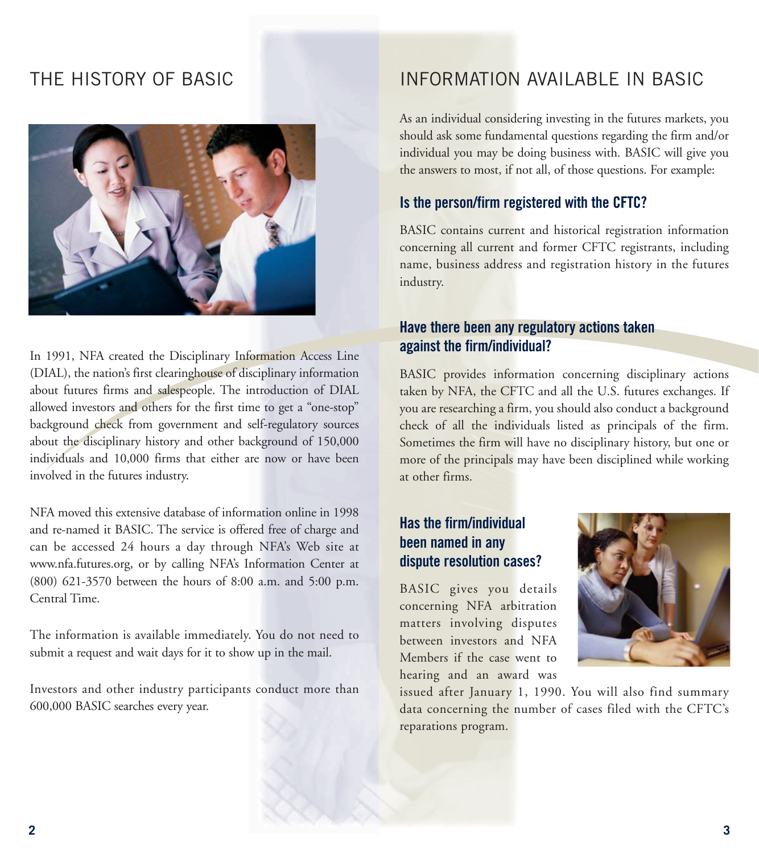# THE HISTORY OF BASIC



In 1991, NFA created the Disciplinary Information Access Line (DIAL), the nation's first clearinghouse of disciplinary information about futures firms and salespeople. The introduction of DIAL allowed investors and others for the first time to get a "one-stop" background check from government and self-regulatory sources about the disciplinary history and other background of 150,000 individuals and 10,000 firms that either are now or have been involved in the futures industry.

NFA moved this extensive database of information online in 1998 and re-named it BASIC. The service is offered free of charge and can be accessed 24 hours a day through NFA's Web site at www.nfa.futures.org, or by calling NFA's Information Center at (800) 621-3570 between the hours of 8:00 a.m. and 5:00 p.m. Central Time.

The information is available immediately. You do not need to submit a request and wait days for it to show up in the mail.

Investors and other industry participants conduct more than 600,000 BASIC searches every year.

# INFORMATION AVAILABLE IN BASIC

As an individual considering investing in the futures markets, you should ask some fundamental questions regarding the firm and/or individual you may be doing business with. BASIC will give you the answers to most, if not all, of those questions. For example:

#### **Is the person/firm registered with the CFTC?**

BASIC contains current and historical registration information concerning all current and former CFTC registrants, including name, business address and registration history in the futures industry.

#### **Have there been any regulatory actions taken against the firm/individual?**

BASIC provides information concerning disciplinary actions taken by NFA, the CFTC and all the U.S. futures exchanges. If you are researching a firm, you should also conduct a background check of all the individuals listed as principals of the firm. Sometimes the firm will have no disciplinary history, but one or more of the principals may have been disciplined while working at other firms.

#### **Has the firm/individual been named in any dispute resolution cases?**

BASIC gives you details concerning NFA arbitration matters involving disputes between investors and NFA Members if the case went to hearing and an award was



issued after January 1, 1990. You will also find summary data concerning the number of cases filed with the CFTC's reparations program.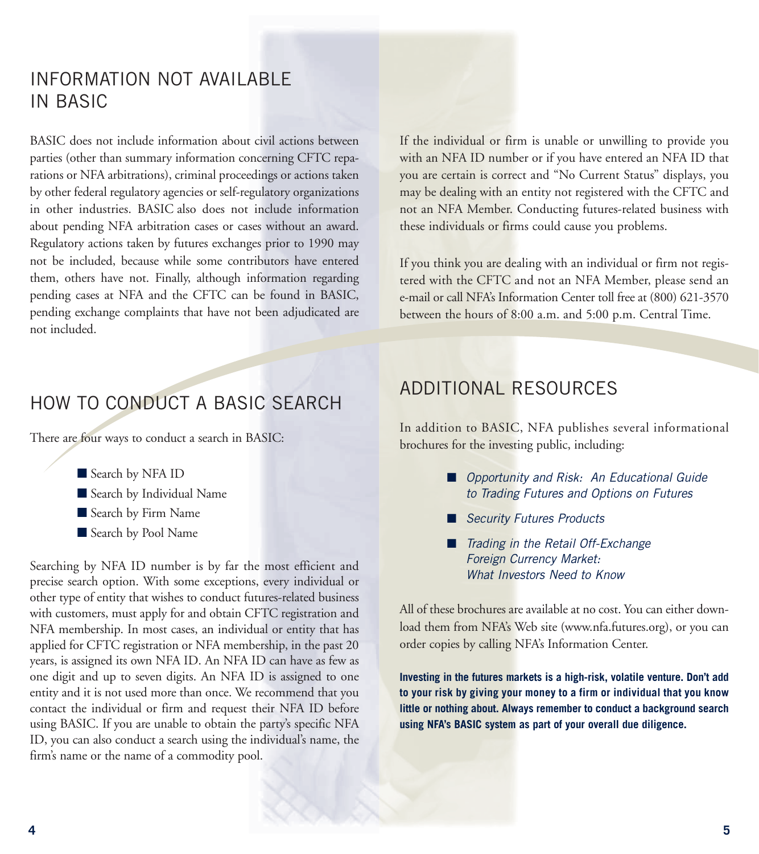# INFORMATION NOT AVAILABLE IN BASIC

BASIC does not include information about civil actions between parties (other than summary information concerning CFTC reparations or NFA arbitrations), criminal proceedings or actions taken by other federal regulatory agencies or self-regulatory organizations in other industries. BASIC also does not include information about pending NFA arbitration cases or cases without an award. Regulatory actions taken by futures exchanges prior to 1990 may not be included, because while some contributors have entered them, others have not. Finally, although information regarding pending cases at NFA and the CFTC can be found in BASIC, pending exchange complaints that have not been adjudicated are not included.

If the individual or firm is unable or unwilling to provide you with an NFA ID number or if you have entered an NFA ID that you are certain is correct and "No Current Status" displays, you may be dealing with an entity not registered with the CFTC and not an NFA Member. Conducting futures-related business with these individuals or firms could cause you problems.

If you think you are dealing with an individual or firm not registered with the CFTC and not an NFA Member, please send an e-mail or call NFA's Information Center toll free at (800) 621-3570 between the hours of 8:00 a.m. and 5:00 p.m. Central Time.

### HOW TO CONDUCT A BASIC SEARCH

There are four ways to conduct a search in BASIC:

- Search by NFA ID
- Search by Individual Name
- Search by Firm Name
- Search by Pool Name

Searching by NFA ID number is by far the most efficient and precise search option. With some exceptions, every individual or other type of entity that wishes to conduct futures-related business with customers, must apply for and obtain CFTC registration and NFA membership. In most cases, an individual or entity that has applied for CFTC registration or NFA membership, in the past 20 years, is assigned its own NFA ID. An NFA ID can have as few as one digit and up to seven digits. An NFA ID is assigned to one entity and it is not used more than once. We recommend that you contact the individual or firm and request their NFA ID before using BASIC. If you are unable to obtain the party's specific NFA ID, you can also conduct a search using the individual's name, the firm's name or the name of a commodity pool.

## ADDITIONAL RESOURCES

In addition to BASIC, NFA publishes several informational brochures for the investing public, including:

- Opportunity and Risk: An Educational Guide to Trading Futures and Options on Futures
- Security Futures Products
- Trading in the Retail Off-Exchange Foreign Currency Market: What Investors Need to Know

All of these brochures are available at no cost. You can either download them from NFA's Web site (www.nfa.futures.org), or you can order copies by calling NFA's Information Center.

**Investing in the futures markets is a high-risk, volatile venture. Don't add to your risk by giving your money to a firm or individual that you know little or nothing about. Always remember to conduct a background search using NFA's BASIC system as part of your overall due diligence.**